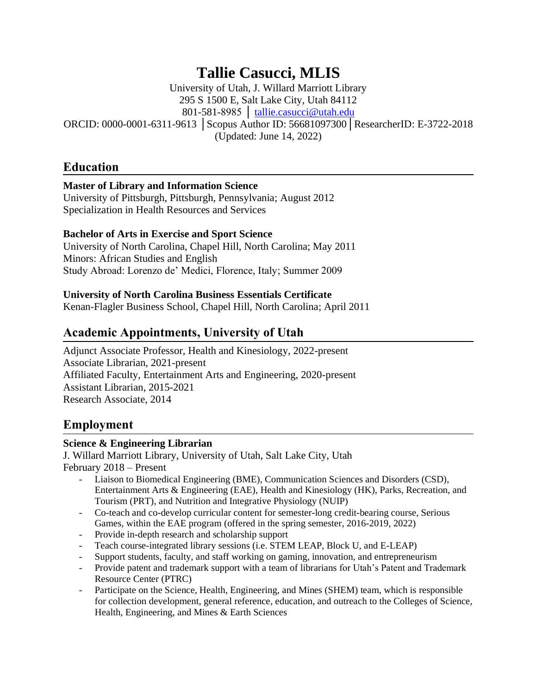# **Tallie Casucci, MLIS**

University of Utah, J. Willard Marriott Library 295 S 1500 E, Salt Lake City, Utah 84112 801-581-8985 │ [tallie.casucci@utah.edu](mailto:tallie.casucci@utah.edu) ORCID: 0000-0001-6311-9613 │Scopus Author ID: 56681097300│ResearcherID: E-3722-2018 (Updated: June 14, 2022)

## **Education**

## **Master of Library and Information Science**

University of Pittsburgh, Pittsburgh, Pennsylvania; August 2012 Specialization in Health Resources and Services

## **Bachelor of Arts in Exercise and Sport Science**

University of North Carolina, Chapel Hill, North Carolina; May 2011 Minors: African Studies and English Study Abroad: Lorenzo de' Medici, Florence, Italy; Summer 2009

## **University of North Carolina Business Essentials Certificate**

Kenan-Flagler Business School, Chapel Hill, North Carolina; April 2011

## **Academic Appointments, University of Utah**

Adjunct Associate Professor, Health and Kinesiology, 2022-present Associate Librarian, 2021-present Affiliated Faculty, Entertainment Arts and Engineering, 2020-present Assistant Librarian, 2015-2021 Research Associate, 2014

## **Employment**

### **Science & Engineering Librarian**

J. Willard Marriott Library, University of Utah, Salt Lake City, Utah February 2018 – Present

- Liaison to Biomedical Engineering (BME), Communication Sciences and Disorders (CSD), Entertainment Arts & Engineering (EAE), Health and Kinesiology (HK), Parks, Recreation, and Tourism (PRT), and Nutrition and Integrative Physiology (NUIP)
- Co-teach and co-develop curricular content for semester-long credit-bearing course, Serious Games, within the EAE program (offered in the spring semester, 2016-2019, 2022)
- Provide in-depth research and scholarship support
- Teach course-integrated library sessions (i.e. STEM LEAP, Block U, and E-LEAP)
- Support students, faculty, and staff working on gaming, innovation, and entrepreneurism
- Provide patent and trademark support with a team of librarians for Utah's Patent and Trademark Resource Center (PTRC)
- Participate on the Science, Health, Engineering, and Mines (SHEM) team, which is responsible for collection development, general reference, education, and outreach to the Colleges of Science, Health, Engineering, and Mines & Earth Sciences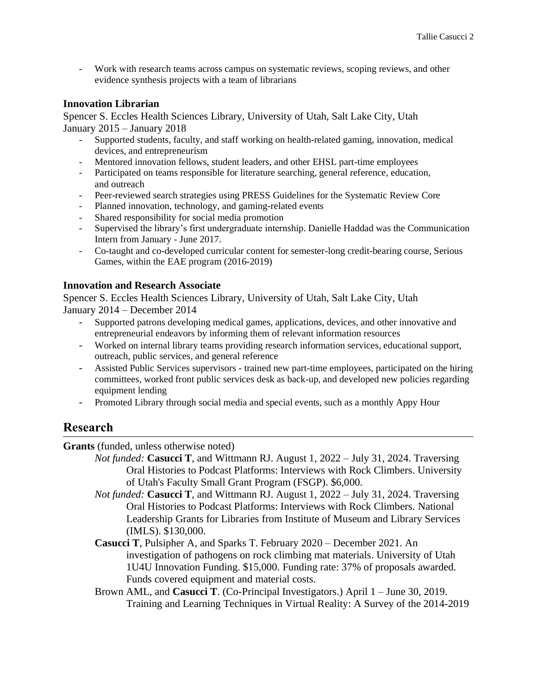- Work with research teams across campus on systematic reviews, scoping reviews, and other evidence synthesis projects with a team of librarians

#### **Innovation Librarian**

Spencer S. Eccles Health Sciences Library, University of Utah, Salt Lake City, Utah January 2015 – January 2018

- Supported students, faculty, and staff working on health-related gaming, innovation, medical devices, and entrepreneurism
- Mentored innovation fellows, student leaders, and other EHSL part-time employees
- Participated on teams responsible for literature searching, general reference, education, and outreach
- Peer-reviewed search strategies using PRESS Guidelines for the Systematic Review Core
- Planned innovation, technology, and gaming-related events
- Shared responsibility for social media promotion
- Supervised the library's first undergraduate internship. Danielle Haddad was the Communication Intern from January - June 2017.
- Co-taught and co-developed curricular content for semester-long credit-bearing course, Serious Games, within the EAE program (2016-2019)

### **Innovation and Research Associate**

Spencer S. Eccles Health Sciences Library, University of Utah, Salt Lake City, Utah January 2014 – December 2014

- Supported patrons developing medical games, applications, devices, and other innovative and entrepreneurial endeavors by informing them of relevant information resources
- Worked on internal library teams providing research information services, educational support, outreach, public services, and general reference
- Assisted Public Services supervisors trained new part-time employees, participated on the hiring committees, worked front public services desk as back-up, and developed new policies regarding equipment lending
- Promoted Library through social media and special events, such as a monthly Appy Hour

## **Research**

**Grants** (funded, unless otherwise noted)

- *Not funded:* **Casucci T**, and Wittmann RJ. August 1, 2022 July 31, 2024. Traversing Oral Histories to Podcast Platforms: Interviews with Rock Climbers. University of Utah's Faculty Small Grant Program (FSGP). \$6,000.
- *Not funded:* **Casucci T**, and Wittmann RJ. August 1, 2022 July 31, 2024. Traversing Oral Histories to Podcast Platforms: Interviews with Rock Climbers. National Leadership Grants for Libraries from Institute of Museum and Library Services (IMLS). \$130,000.
- **Casucci T**, Pulsipher A, and Sparks T. February 2020 December 2021. An investigation of pathogens on rock climbing mat materials. University of Utah 1U4U Innovation Funding. \$15,000. Funding rate: 37% of proposals awarded. Funds covered equipment and material costs.
- Brown AML, and **Casucci T**. (Co-Principal Investigators.) April 1 June 30, 2019. Training and Learning Techniques in Virtual Reality: A Survey of the 2014-2019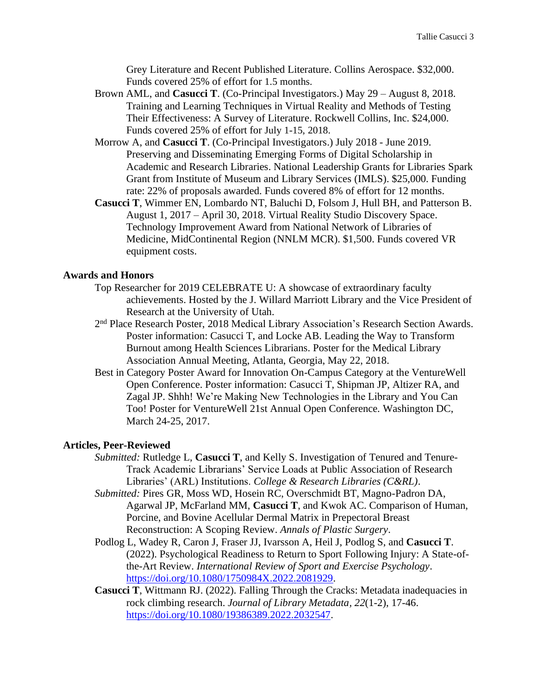Grey Literature and Recent Published Literature. Collins Aerospace. \$32,000. Funds covered 25% of effort for 1.5 months.

- Brown AML, and **Casucci T**. (Co-Principal Investigators.) May 29 August 8, 2018. Training and Learning Techniques in Virtual Reality and Methods of Testing Their Effectiveness: A Survey of Literature. Rockwell Collins, Inc. \$24,000. Funds covered 25% of effort for July 1-15, 2018.
- Morrow A, and **Casucci T**. (Co-Principal Investigators.) July 2018 June 2019. Preserving and Disseminating Emerging Forms of Digital Scholarship in Academic and Research Libraries. National Leadership Grants for Libraries Spark Grant from Institute of Museum and Library Services (IMLS). \$25,000. Funding rate: 22% of proposals awarded. Funds covered 8% of effort for 12 months.
- **Casucci T**, Wimmer EN, Lombardo NT, Baluchi D, Folsom J, Hull BH, and Patterson B. August 1, 2017 – April 30, 2018. Virtual Reality Studio Discovery Space. Technology Improvement Award from National Network of Libraries of Medicine, MidContinental Region (NNLM MCR). \$1,500. Funds covered VR equipment costs.

#### **Awards and Honors**

- Top Researcher for 2019 CELEBRATE U: A showcase of extraordinary faculty achievements. Hosted by the J. Willard Marriott Library and the Vice President of Research at the University of Utah.
- 2<sup>nd</sup> Place Research Poster, 2018 Medical Library Association's Research Section Awards. Poster information: Casucci T, and Locke AB. Leading the Way to Transform Burnout among Health Sciences Librarians. Poster for the Medical Library Association Annual Meeting, Atlanta, Georgia, May 22, 2018.
- Best in Category Poster Award for Innovation On-Campus Category at the VentureWell Open Conference. Poster information: Casucci T, Shipman JP, Altizer RA, and Zagal JP. Shhh! We're Making New Technologies in the Library and You Can Too! Poster for VentureWell 21st Annual Open Conference. Washington DC, March 24-25, 2017.

#### **Articles, Peer-Reviewed**

- *Submitted:* Rutledge L, **Casucci T**, and Kelly S. Investigation of Tenured and Tenure-Track Academic Librarians' Service Loads at Public Association of Research Libraries' (ARL) Institutions. *College & Research Libraries (C&RL)*.
- *Submitted:* Pires GR, Moss WD, Hosein RC, Overschmidt BT, Magno-Padron DA, Agarwal JP, McFarland MM, **Casucci T**, and Kwok AC. Comparison of Human, Porcine, and Bovine Acellular Dermal Matrix in Prepectoral Breast Reconstruction: A Scoping Review. *Annals of Plastic Surgery*.
- Podlog L, Wadey R, Caron J, Fraser JJ, Ivarsson A, Heil J, Podlog S, and **Casucci T**. (2022). Psychological Readiness to Return to Sport Following Injury: A State-ofthe-Art Review. *International Review of Sport and Exercise Psychology*. [https://doi.org/10.1080/1750984X.2022.2081929.](https://doi.org/10.1080/1750984X.2022.2081929)
- **Casucci T**, Wittmann RJ. (2022). Falling Through the Cracks: Metadata inadequacies in rock climbing research. *Journal of Library Metadata, 22*(1-2), 17-46. [https://doi.org/10.1080/19386389.2022.2032547.](https://doi.org/10.1080/19386389.2022.2032547)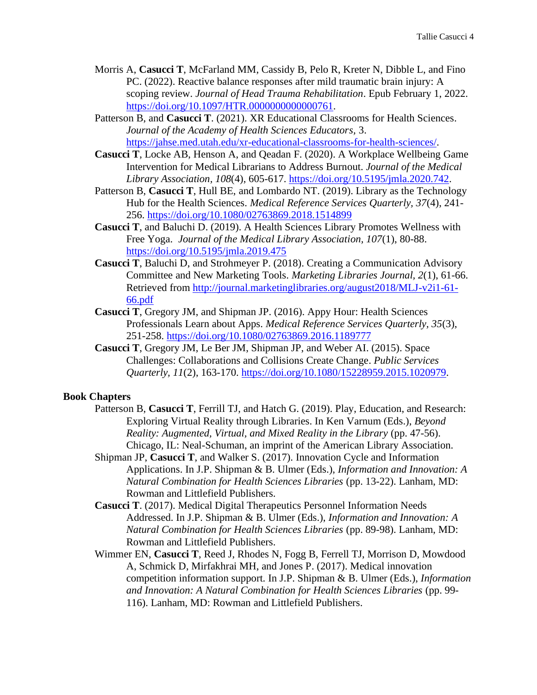- Morris A, **Casucci T**, McFarland MM, Cassidy B, Pelo R, Kreter N, Dibble L, and Fino PC. (2022). Reactive balance responses after mild traumatic brain injury: A scoping review. *Journal of Head Trauma Rehabilitation*. Epub February 1, 2022. [https://doi.org/10.1097/HTR.0000000000000761.](https://doi.org/10.1097/HTR.0000000000000761)
- Patterson B, and **Casucci T**. (2021). XR Educational Classrooms for Health Sciences. *Journal of the Academy of Health Sciences Educators,* 3. [https://jahse.med.utah.edu/xr-educational-classrooms-for-health-sciences/.](https://jahse.med.utah.edu/xr-educational-classrooms-for-health-sciences/)
- **Casucci T**, Locke AB, Henson A, and Qeadan F. (2020). A Workplace Wellbeing Game Intervention for Medical Librarians to Address Burnout. *Journal of the Medical Library Association, 108*(4), 605-617. [https://doi.org/10.5195/jmla.2020.742.](https://doi.org/10.5195/jmla.2020.742)
- Patterson B, **Casucci T**, Hull BE, and Lombardo NT. (2019). Library as the Technology Hub for the Health Sciences. *Medical Reference Services Quarterly, 37*(4), 241- 256. <https://doi.org/10.1080/02763869.2018.1514899>
- **Casucci T**, and Baluchi D. (2019). A Health Sciences Library Promotes Wellness with Free Yoga. *Journal of the Medical Library Association, 107*(1), 80-88. <https://doi.org/10.5195/jmla.2019.475>
- **Casucci T**, Baluchi D, and Strohmeyer P. (2018). Creating a Communication Advisory Committee and New Marketing Tools. *Marketing Libraries Journal, 2*(1), 61-66. Retrieved from [http://journal.marketinglibraries.org/august2018/MLJ-v2i1-61-](http://journal.marketinglibraries.org/august2018/MLJ-v2i1-61-66.pdf) [66.pdf](http://journal.marketinglibraries.org/august2018/MLJ-v2i1-61-66.pdf)
- **Casucci T**, Gregory JM, and Shipman JP. (2016). Appy Hour: Health Sciences Professionals Learn about Apps. *Medical Reference Services Quarterly, 35*(3), 251-258.<https://doi.org/10.1080/02763869.2016.1189777>
- **Casucci T**, Gregory JM, Le Ber JM, Shipman JP, and Weber AI. (2015). Space Challenges: Collaborations and Collisions Create Change. *Public Services Quarterly, 11*(2), 163-170. [https://doi.org/10.1080/15228959.2015.1020979.](https://doi.org/10.1080/15228959.2015.1020979)

#### **Book Chapters**

- Patterson B, **Casucci T**, Ferrill TJ, and Hatch G. (2019). Play, Education, and Research: Exploring Virtual Reality through Libraries. In Ken Varnum (Eds.), *Beyond Reality: Augmented, Virtual, and Mixed Reality in the Library* (pp. 47-56). Chicago, IL: Neal-Schuman, an imprint of the American Library Association.
- Shipman JP, **Casucci T**, and Walker S. (2017). Innovation Cycle and Information Applications. In J.P. Shipman & B. Ulmer (Eds.), *Information and Innovation: A Natural Combination for Health Sciences Libraries* (pp. 13-22). Lanham, MD: Rowman and Littlefield Publishers.
- **Casucci T**. (2017). Medical Digital Therapeutics Personnel Information Needs Addressed. In J.P. Shipman & B. Ulmer (Eds.), *Information and Innovation: A Natural Combination for Health Sciences Libraries* (pp. 89-98). Lanham, MD: Rowman and Littlefield Publishers.
- Wimmer EN, **Casucci T**, Reed J, Rhodes N, Fogg B, Ferrell TJ, Morrison D, Mowdood A, Schmick D, Mirfakhrai MH, and Jones P. (2017). Medical innovation competition information support. In J.P. Shipman & B. Ulmer (Eds.), *Information and Innovation: A Natural Combination for Health Sciences Libraries* (pp. 99- 116). Lanham, MD: Rowman and Littlefield Publishers.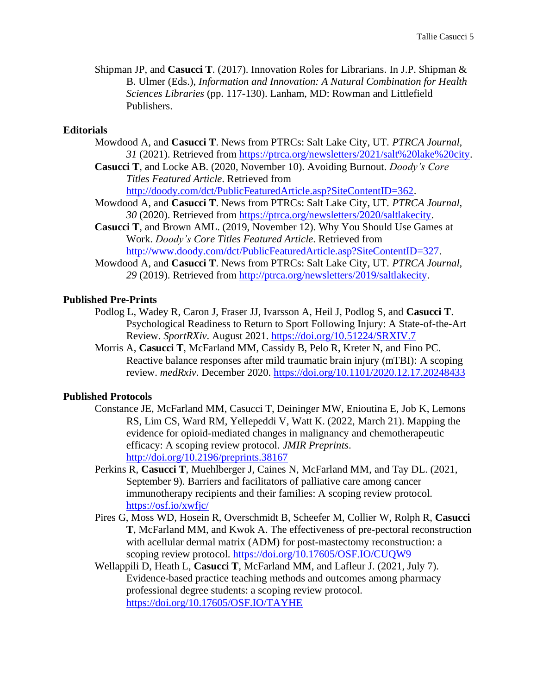Shipman JP, and **Casucci T**. (2017). Innovation Roles for Librarians. In J.P. Shipman & B. Ulmer (Eds.), *Information and Innovation: A Natural Combination for Health Sciences Libraries* (pp. 117-130). Lanham, MD: Rowman and Littlefield Publishers.

#### **Editorials**

- Mowdood A, and **Casucci T**. News from PTRCs: Salt Lake City, UT. *PTRCA Journal, 31* (2021). Retrieved from [https://ptrca.org/newsletters/2021/salt%20lake%20city.](https://ptrca.org/newsletters/2021/salt%20lake%20city)
- **Casucci T**, and Locke AB. (2020, November 10). Avoiding Burnout. *Doody's Core Titles Featured Article*. Retrieved from [http://doody.com/dct/PublicFeaturedArticle.asp?SiteContentID=362.](http://doody.com/dct/PublicFeaturedArticle.asp?SiteContentID=362)
- Mowdood A, and **Casucci T**. News from PTRCs: Salt Lake City, UT. *PTRCA Journal, 30* (2020). Retrieved from [https://ptrca.org/newsletters/2020/saltlakecity.](https://ptrca.org/newsletters/2020/saltlakecity)
- **Casucci T**, and Brown AML. (2019, November 12). Why You Should Use Games at Work. *Doody's Core Titles Featured Article*. Retrieved from [http://www.doody.com/dct/PublicFeaturedArticle.asp?SiteContentID=327.](http://www.doody.com/dct/PublicFeaturedArticle.asp?SiteContentID=327)
- Mowdood A, and **Casucci T**. News from PTRCs: Salt Lake City, UT. *PTRCA Journal, 29* (2019). Retrieved from [http://ptrca.org/newsletters/2019/saltlakecity.](http://ptrca.org/newsletters/2019/saltlakecity)

#### **Published Pre-Prints**

- Podlog L, Wadey R, Caron J, Fraser JJ, Ivarsson A, Heil J, Podlog S, and **Casucci T**. Psychological Readiness to Return to Sport Following Injury: A State-of-the-Art Review. *SportRXiv*. August 2021.<https://doi.org/10.51224/SRXIV.7>
- Morris A, **Casucci T**, McFarland MM, Cassidy B, Pelo R, Kreter N, and Fino PC. Reactive balance responses after mild traumatic brain injury (mTBI): A scoping review. *medRxiv*. December 2020.<https://doi.org/10.1101/2020.12.17.20248433>

#### **Published Protocols**

- Constance JE, McFarland MM, Casucci T, Deininger MW, Enioutina E, Job K, Lemons RS, Lim CS, Ward RM, Yellepeddi V, Watt K. (2022, March 21). Mapping the evidence for opioid-mediated changes in malignancy and chemotherapeutic efficacy: A scoping review protocol. *JMIR Preprints*. <http://doi.org/10.2196/preprints.38167>
- Perkins R, **Casucci T**, Muehlberger J, Caines N, McFarland MM, and Tay DL. (2021, September 9). Barriers and facilitators of palliative care among cancer immunotherapy recipients and their families: A scoping review protocol. <https://osf.io/xwfjc/>
- Pires G, Moss WD, Hosein R, Overschmidt B, Scheefer M, Collier W, Rolph R, **Casucci T**, McFarland MM, and Kwok A. The effectiveness of pre-pectoral reconstruction with acellular dermal matrix (ADM) for post-mastectomy reconstruction: a scoping review protocol.<https://doi.org/10.17605/OSF.IO/CUQW9>
- Wellappili D, Heath L, **Casucci T**, McFarland MM, and Lafleur J. (2021, July 7). Evidence-based practice teaching methods and outcomes among pharmacy professional degree students: a scoping review protocol. <https://doi.org/10.17605/OSF.IO/TAYHE>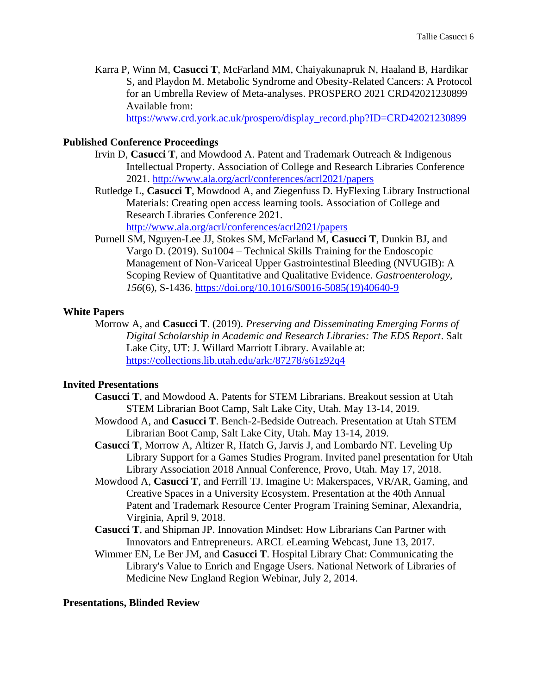Karra P, Winn M, **Casucci T**, McFarland MM, Chaiyakunapruk N, Haaland B, Hardikar S, and Playdon M. Metabolic Syndrome and Obesity-Related Cancers: A Protocol for an Umbrella Review of Meta-analyses. PROSPERO 2021 CRD42021230899 Available from:

[https://www.crd.york.ac.uk/prospero/display\\_record.php?ID=CRD42021230899](https://www.crd.york.ac.uk/prospero/display_record.php?ID=CRD42021230899)

#### **Published Conference Proceedings**

- Irvin D, **Casucci T**, and Mowdood A. Patent and Trademark Outreach & Indigenous Intellectual Property. Association of College and Research Libraries Conference 2021. <http://www.ala.org/acrl/conferences/acrl2021/papers>
- Rutledge L, **Casucci T**, Mowdood A, and Ziegenfuss D. HyFlexing Library Instructional Materials: Creating open access learning tools. Association of College and Research Libraries Conference 2021. <http://www.ala.org/acrl/conferences/acrl2021/papers>
- Purnell SM, Nguyen-Lee JJ, Stokes SM, McFarland M, **Casucci T**, Dunkin BJ, and Vargo D. (2019). Su1004 – Technical Skills Training for the Endoscopic Management of Non-Variceal Upper Gastrointestinal Bleeding (NVUGIB): A Scoping Review of Quantitative and Qualitative Evidence. *Gastroenterology, 156*(6), S-1436. [https://doi.org/10.1016/S0016-5085\(19\)40640-9](https://doi.org/10.1016/S0016-5085(19)40640-9)

#### **White Papers**

Morrow A, and **Casucci T**. (2019). *Preserving and Disseminating Emerging Forms of Digital Scholarship in Academic and Research Libraries: The EDS Report*. Salt Lake City, UT: J. Willard Marriott Library. Available at: <https://collections.lib.utah.edu/ark:/87278/s61z92q4>

#### **Invited Presentations**

- **Casucci T**, and Mowdood A. Patents for STEM Librarians. Breakout session at Utah STEM Librarian Boot Camp, Salt Lake City, Utah. May 13-14, 2019.
- Mowdood A, and **Casucci T**. Bench-2-Bedside Outreach. Presentation at Utah STEM Librarian Boot Camp, Salt Lake City, Utah. May 13-14, 2019.
- **Casucci T**, Morrow A, Altizer R, Hatch G, Jarvis J, and Lombardo NT. Leveling Up Library Support for a Games Studies Program. Invited panel presentation for Utah Library Association 2018 Annual Conference, Provo, Utah. May 17, 2018.
- Mowdood A, **Casucci T**, and Ferrill TJ. Imagine U: Makerspaces, VR/AR, Gaming, and Creative Spaces in a University Ecosystem. Presentation at the 40th Annual Patent and Trademark Resource Center Program Training Seminar, Alexandria, Virginia, April 9, 2018.
- **Casucci T**, and Shipman JP. Innovation Mindset: How Librarians Can Partner with Innovators and Entrepreneurs. ARCL eLearning Webcast, June 13, 2017.
- Wimmer EN, Le Ber JM, and **Casucci T**. Hospital Library Chat: Communicating the Library's Value to Enrich and Engage Users. National Network of Libraries of Medicine New England Region Webinar, July 2, 2014.

#### **Presentations, Blinded Review**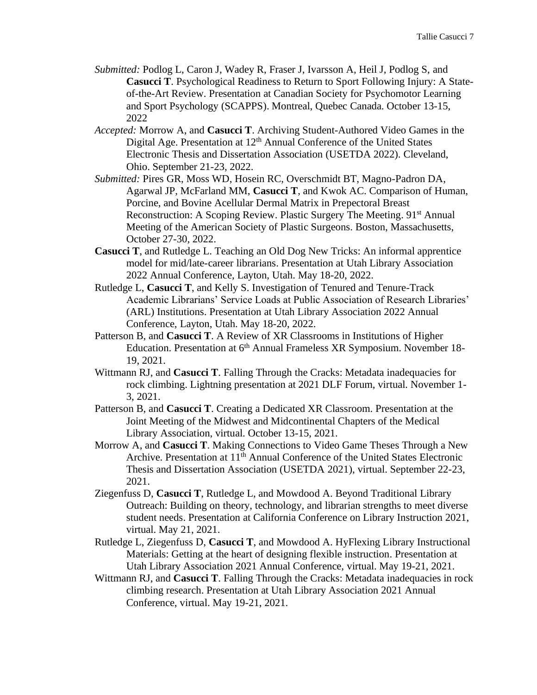- *Submitted:* Podlog L, Caron J, Wadey R, Fraser J, Ivarsson A, Heil J, Podlog S, and **Casucci T**. Psychological Readiness to Return to Sport Following Injury: A Stateof-the-Art Review. Presentation at Canadian Society for Psychomotor Learning and Sport Psychology (SCAPPS). Montreal, Quebec Canada. October 13-15, 2022
- *Accepted:* Morrow A, and **Casucci T**. Archiving Student-Authored Video Games in the Digital Age. Presentation at 12<sup>th</sup> Annual Conference of the United States Electronic Thesis and Dissertation Association (USETDA 2022). Cleveland, Ohio. September 21-23, 2022.
- *Submitted:* Pires GR, Moss WD, Hosein RC, Overschmidt BT, Magno-Padron DA, Agarwal JP, McFarland MM, **Casucci T**, and Kwok AC. Comparison of Human, Porcine, and Bovine Acellular Dermal Matrix in Prepectoral Breast Reconstruction: A Scoping Review. Plastic Surgery The Meeting. 91<sup>st</sup> Annual Meeting of the American Society of Plastic Surgeons. Boston, Massachusetts, October 27-30, 2022.
- **Casucci T**, and Rutledge L. Teaching an Old Dog New Tricks: An informal apprentice model for mid/late-career librarians. Presentation at Utah Library Association 2022 Annual Conference, Layton, Utah. May 18-20, 2022.
- Rutledge L, **Casucci T**, and Kelly S. Investigation of Tenured and Tenure-Track Academic Librarians' Service Loads at Public Association of Research Libraries' (ARL) Institutions. Presentation at Utah Library Association 2022 Annual Conference, Layton, Utah. May 18-20, 2022.
- Patterson B, and **Casucci T**. A Review of XR Classrooms in Institutions of Higher Education. Presentation at 6<sup>th</sup> Annual Frameless XR Symposium. November 18-19, 2021.
- Wittmann RJ, and **Casucci T**. Falling Through the Cracks: Metadata inadequacies for rock climbing. Lightning presentation at 2021 DLF Forum, virtual. November 1- 3, 2021.
- Patterson B, and **Casucci T**. Creating a Dedicated XR Classroom. Presentation at the Joint Meeting of the Midwest and Midcontinental Chapters of the Medical Library Association, virtual. October 13-15, 2021.
- Morrow A, and **Casucci T**. Making Connections to Video Game Theses Through a New Archive. Presentation at 11<sup>th</sup> Annual Conference of the United States Electronic Thesis and Dissertation Association (USETDA 2021), virtual. September 22-23, 2021.
- Ziegenfuss D, **Casucci T**, Rutledge L, and Mowdood A. Beyond Traditional Library Outreach: Building on theory, technology, and librarian strengths to meet diverse student needs. Presentation at California Conference on Library Instruction 2021, virtual. May 21, 2021.
- Rutledge L, Ziegenfuss D, **Casucci T**, and Mowdood A. HyFlexing Library Instructional Materials: Getting at the heart of designing flexible instruction. Presentation at Utah Library Association 2021 Annual Conference, virtual. May 19-21, 2021.
- Wittmann RJ, and **Casucci T**. Falling Through the Cracks: Metadata inadequacies in rock climbing research. Presentation at Utah Library Association 2021 Annual Conference, virtual. May 19-21, 2021.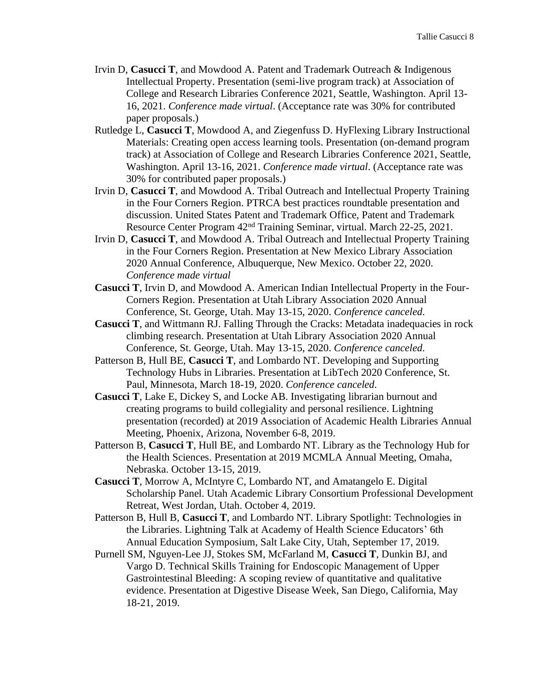- Irvin D, **Casucci T**, and Mowdood A. Patent and Trademark Outreach & Indigenous Intellectual Property. Presentation (semi-live program track) at Association of College and Research Libraries Conference 2021, Seattle, Washington. April 13- 16, 2021. *Conference made virtual*. (Acceptance rate was 30% for contributed paper proposals.)
- Rutledge L, **Casucci T**, Mowdood A, and Ziegenfuss D. HyFlexing Library Instructional Materials: Creating open access learning tools. Presentation (on-demand program track) at Association of College and Research Libraries Conference 2021, Seattle, Washington. April 13-16, 2021. *Conference made virtual*. (Acceptance rate was 30% for contributed paper proposals.)
- Irvin D, **Casucci T**, and Mowdood A. Tribal Outreach and Intellectual Property Training in the Four Corners Region. PTRCA best practices roundtable presentation and discussion. United States Patent and Trademark Office, Patent and Trademark Resource Center Program 42nd Training Seminar, virtual. March 22-25, 2021.
- Irvin D, **Casucci T**, and Mowdood A. Tribal Outreach and Intellectual Property Training in the Four Corners Region. Presentation at New Mexico Library Association 2020 Annual Conference, Albuquerque, New Mexico. October 22, 2020. *Conference made virtual*
- **Casucci T**, Irvin D, and Mowdood A. American Indian Intellectual Property in the Four-Corners Region. Presentation at Utah Library Association 2020 Annual Conference, St. George, Utah. May 13-15, 2020. *Conference canceled.*
- **Casucci T**, and Wittmann RJ. Falling Through the Cracks: Metadata inadequacies in rock climbing research. Presentation at Utah Library Association 2020 Annual Conference, St. George, Utah. May 13-15, 2020. *Conference canceled.*
- Patterson B, Hull BE, **Casucci T**, and Lombardo NT. Developing and Supporting Technology Hubs in Libraries. Presentation at LibTech 2020 Conference, St. Paul, Minnesota, March 18-19, 2020. *Conference canceled.*
- **Casucci T**, Lake E, Dickey S, and Locke AB. Investigating librarian burnout and creating programs to build collegiality and personal resilience. Lightning presentation (recorded) at 2019 Association of Academic Health Libraries Annual Meeting, Phoenix, Arizona, November 6-8, 2019.
- Patterson B, **Casucci T**, Hull BE, and Lombardo NT. Library as the Technology Hub for the Health Sciences. Presentation at 2019 MCMLA Annual Meeting, Omaha, Nebraska. October 13-15, 2019.
- **Casucci T**, Morrow A, McIntyre C, Lombardo NT, and Amatangelo E. Digital Scholarship Panel. Utah Academic Library Consortium Professional Development Retreat, West Jordan, Utah. October 4, 2019.
- Patterson B, Hull B, **Casucci T**, and Lombardo NT. Library Spotlight: Technologies in the Libraries. Lightning Talk at Academy of Health Science Educators' 6th Annual Education Symposium, Salt Lake City, Utah, September 17, 2019.
- Purnell SM, Nguyen-Lee JJ, Stokes SM, McFarland M, **Casucci T**, Dunkin BJ, and Vargo D. Technical Skills Training for Endoscopic Management of Upper Gastrointestinal Bleeding: A scoping review of quantitative and qualitative evidence. Presentation at Digestive Disease Week, San Diego, California, May 18-21, 2019.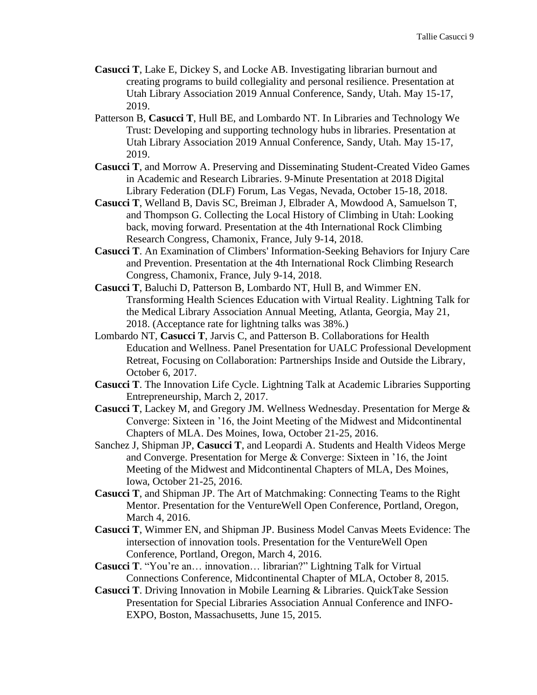- **Casucci T**, Lake E, Dickey S, and Locke AB. Investigating librarian burnout and creating programs to build collegiality and personal resilience. Presentation at Utah Library Association 2019 Annual Conference, Sandy, Utah. May 15-17, 2019.
- Patterson B, **Casucci T**, Hull BE, and Lombardo NT. In Libraries and Technology We Trust: Developing and supporting technology hubs in libraries. Presentation at Utah Library Association 2019 Annual Conference, Sandy, Utah. May 15-17, 2019.
- **Casucci T**, and Morrow A. Preserving and Disseminating Student-Created Video Games in Academic and Research Libraries. 9-Minute Presentation at 2018 Digital Library Federation (DLF) Forum, Las Vegas, Nevada, October 15-18, 2018.
- **Casucci T**, Welland B, Davis SC, Breiman J, Elbrader A, Mowdood A, Samuelson T, and Thompson G. Collecting the Local History of Climbing in Utah: Looking back, moving forward. Presentation at the 4th International Rock Climbing Research Congress, Chamonix, France, July 9-14, 2018.
- **Casucci T**. An Examination of Climbers' Information-Seeking Behaviors for Injury Care and Prevention. Presentation at the 4th International Rock Climbing Research Congress, Chamonix, France, July 9-14, 2018.
- **Casucci T**, Baluchi D, Patterson B, Lombardo NT, Hull B, and Wimmer EN. Transforming Health Sciences Education with Virtual Reality. Lightning Talk for the Medical Library Association Annual Meeting, Atlanta, Georgia, May 21, 2018. (Acceptance rate for lightning talks was 38%.)
- Lombardo NT, **Casucci T**, Jarvis C, and Patterson B. Collaborations for Health Education and Wellness. Panel Presentation for UALC Professional Development Retreat, Focusing on Collaboration: Partnerships Inside and Outside the Library, October 6, 2017.
- **Casucci T**. The Innovation Life Cycle. Lightning Talk at Academic Libraries Supporting Entrepreneurship, March 2, 2017.
- **Casucci T**, Lackey M, and Gregory JM. Wellness Wednesday. Presentation for Merge & Converge: Sixteen in '16, the Joint Meeting of the Midwest and Midcontinental Chapters of MLA. Des Moines, Iowa, October 21-25, 2016.
- Sanchez J, Shipman JP, **Casucci T**, and Leopardi A. Students and Health Videos Merge and Converge. Presentation for Merge & Converge: Sixteen in '16, the Joint Meeting of the Midwest and Midcontinental Chapters of MLA, Des Moines, Iowa, October 21-25, 2016.
- **Casucci T**, and Shipman JP. The Art of Matchmaking: Connecting Teams to the Right Mentor. Presentation for the VentureWell Open Conference, Portland, Oregon, March 4, 2016.
- **Casucci T**, Wimmer EN, and Shipman JP. Business Model Canvas Meets Evidence: The intersection of innovation tools. Presentation for the VentureWell Open Conference, Portland, Oregon, March 4, 2016.
- **Casucci T**. "You're an… innovation… librarian?" Lightning Talk for Virtual Connections Conference, Midcontinental Chapter of MLA, October 8, 2015.
- **Casucci T**. Driving Innovation in Mobile Learning & Libraries. QuickTake Session Presentation for Special Libraries Association Annual Conference and INFO-EXPO, Boston, Massachusetts, June 15, 2015.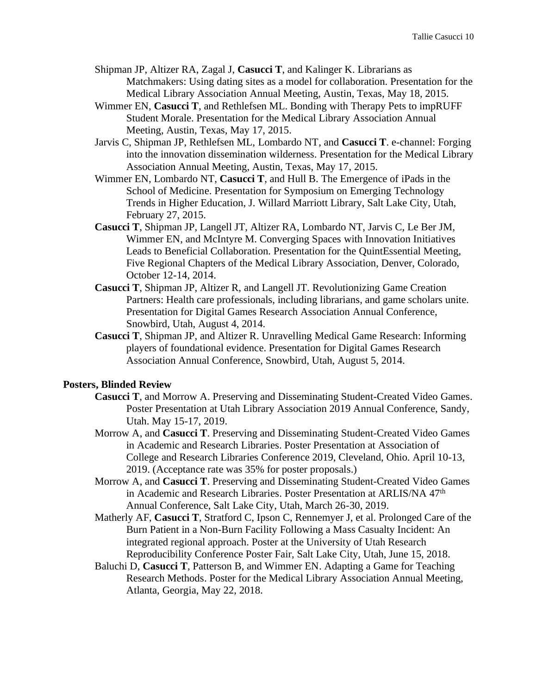- Shipman JP, Altizer RA, Zagal J, **Casucci T**, and Kalinger K. Librarians as Matchmakers: Using dating sites as a model for collaboration. Presentation for the Medical Library Association Annual Meeting, Austin, Texas, May 18, 2015.
- Wimmer EN, **Casucci T**, and Rethlefsen ML. Bonding with Therapy Pets to impRUFF Student Morale. Presentation for the Medical Library Association Annual Meeting, Austin, Texas, May 17, 2015.
- Jarvis C, Shipman JP, Rethlefsen ML, Lombardo NT, and **Casucci T**. e-channel: Forging into the innovation dissemination wilderness. Presentation for the Medical Library Association Annual Meeting, Austin, Texas, May 17, 2015.
- Wimmer EN, Lombardo NT, **Casucci T**, and Hull B. The Emergence of iPads in the School of Medicine. Presentation for Symposium on Emerging Technology Trends in Higher Education, J. Willard Marriott Library, Salt Lake City, Utah, February 27, 2015.
- **Casucci T**, Shipman JP, Langell JT, Altizer RA, Lombardo NT, Jarvis C, Le Ber JM, Wimmer EN, and McIntyre M. Converging Spaces with Innovation Initiatives Leads to Beneficial Collaboration. Presentation for the QuintEssential Meeting, Five Regional Chapters of the Medical Library Association, Denver, Colorado, October 12-14, 2014.
- **Casucci T**, Shipman JP, Altizer R, and Langell JT. Revolutionizing Game Creation Partners: Health care professionals, including librarians, and game scholars unite. Presentation for Digital Games Research Association Annual Conference, Snowbird, Utah, August 4, 2014.
- **Casucci T**, Shipman JP, and Altizer R. Unravelling Medical Game Research: Informing players of foundational evidence. Presentation for Digital Games Research Association Annual Conference, Snowbird, Utah, August 5, 2014.

#### **Posters, Blinded Review**

- **Casucci T**, and Morrow A. Preserving and Disseminating Student-Created Video Games. Poster Presentation at Utah Library Association 2019 Annual Conference, Sandy, Utah. May 15-17, 2019.
- Morrow A, and **Casucci T**. Preserving and Disseminating Student-Created Video Games in Academic and Research Libraries. Poster Presentation at Association of College and Research Libraries Conference 2019, Cleveland, Ohio. April 10-13, 2019. (Acceptance rate was 35% for poster proposals.)
- Morrow A, and **Casucci T**. Preserving and Disseminating Student-Created Video Games in Academic and Research Libraries. Poster Presentation at ARLIS/NA 47<sup>th</sup> Annual Conference, Salt Lake City, Utah, March 26-30, 2019.
- Matherly AF, **Casucci T**, Stratford C, Ipson C, Rennemyer J, et al. Prolonged Care of the Burn Patient in a Non-Burn Facility Following a Mass Casualty Incident: An integrated regional approach. Poster at the University of Utah Research Reproducibility Conference Poster Fair, Salt Lake City, Utah, June 15, 2018.
- Baluchi D, **Casucci T**, Patterson B, and Wimmer EN. Adapting a Game for Teaching Research Methods. Poster for the Medical Library Association Annual Meeting, Atlanta, Georgia, May 22, 2018.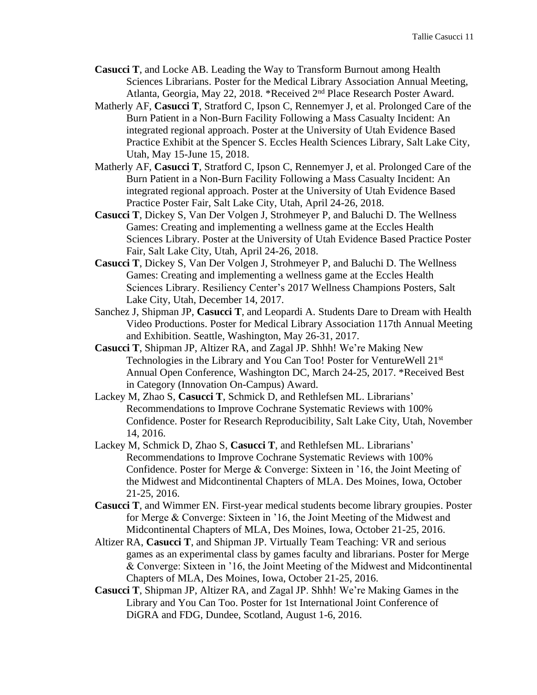- **Casucci T**, and Locke AB. Leading the Way to Transform Burnout among Health Sciences Librarians. Poster for the Medical Library Association Annual Meeting, Atlanta, Georgia, May 22, 2018. \*Received 2nd Place Research Poster Award.
- Matherly AF, **Casucci T**, Stratford C, Ipson C, Rennemyer J, et al. Prolonged Care of the Burn Patient in a Non-Burn Facility Following a Mass Casualty Incident: An integrated regional approach. Poster at the University of Utah Evidence Based Practice Exhibit at the Spencer S. Eccles Health Sciences Library, Salt Lake City, Utah, May 15-June 15, 2018.
- Matherly AF, **Casucci T**, Stratford C, Ipson C, Rennemyer J, et al. Prolonged Care of the Burn Patient in a Non-Burn Facility Following a Mass Casualty Incident: An integrated regional approach. Poster at the University of Utah Evidence Based Practice Poster Fair, Salt Lake City, Utah, April 24-26, 2018.
- **Casucci T**, Dickey S, Van Der Volgen J, Strohmeyer P, and Baluchi D. The Wellness Games: Creating and implementing a wellness game at the Eccles Health Sciences Library. Poster at the University of Utah Evidence Based Practice Poster Fair, Salt Lake City, Utah, April 24-26, 2018.
- **Casucci T**, Dickey S, Van Der Volgen J, Strohmeyer P, and Baluchi D. The Wellness Games: Creating and implementing a wellness game at the Eccles Health Sciences Library. Resiliency Center's 2017 Wellness Champions Posters, Salt Lake City, Utah, December 14, 2017.
- Sanchez J, Shipman JP, **Casucci T**, and Leopardi A. Students Dare to Dream with Health Video Productions. Poster for Medical Library Association 117th Annual Meeting and Exhibition. Seattle, Washington, May 26-31, 2017.
- **Casucci T**, Shipman JP, Altizer RA, and Zagal JP. Shhh! We're Making New Technologies in the Library and You Can Too! Poster for VentureWell 21st Annual Open Conference, Washington DC, March 24-25, 2017. \*Received Best in Category (Innovation On-Campus) Award.
- Lackey M, Zhao S, **Casucci T**, Schmick D, and Rethlefsen ML. Librarians' Recommendations to Improve Cochrane Systematic Reviews with 100% Confidence. Poster for Research Reproducibility, Salt Lake City, Utah, November 14, 2016.
- Lackey M, Schmick D, Zhao S, **Casucci T**, and Rethlefsen ML. Librarians' Recommendations to Improve Cochrane Systematic Reviews with 100% Confidence. Poster for Merge & Converge: Sixteen in '16, the Joint Meeting of the Midwest and Midcontinental Chapters of MLA. Des Moines, Iowa, October 21-25, 2016.
- **Casucci T**, and Wimmer EN. First-year medical students become library groupies. Poster for Merge & Converge: Sixteen in '16, the Joint Meeting of the Midwest and Midcontinental Chapters of MLA, Des Moines, Iowa, October 21-25, 2016.
- Altizer RA, **Casucci T**, and Shipman JP. Virtually Team Teaching: VR and serious games as an experimental class by games faculty and librarians. Poster for Merge & Converge: Sixteen in '16, the Joint Meeting of the Midwest and Midcontinental Chapters of MLA, Des Moines, Iowa, October 21-25, 2016.
- **Casucci T**, Shipman JP, Altizer RA, and Zagal JP. Shhh! We're Making Games in the Library and You Can Too. Poster for 1st International Joint Conference of DiGRA and FDG, Dundee, Scotland, August 1-6, 2016.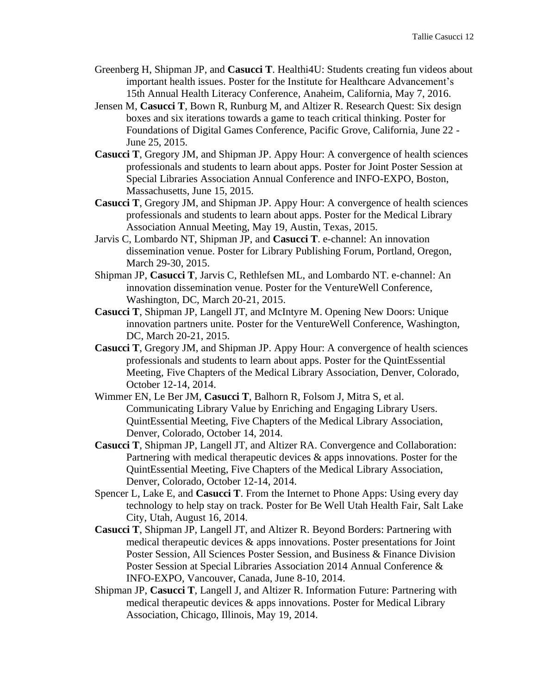- Greenberg H, Shipman JP, and **Casucci T**. Healthi4U: Students creating fun videos about important health issues. Poster for the Institute for Healthcare Advancement's 15th Annual Health Literacy Conference, Anaheim, California, May 7, 2016.
- Jensen M, **Casucci T**, Bown R, Runburg M, and Altizer R. Research Quest: Six design boxes and six iterations towards a game to teach critical thinking. Poster for Foundations of Digital Games Conference, Pacific Grove, California, June 22 - June 25, 2015.
- **Casucci T**, Gregory JM, and Shipman JP. Appy Hour: A convergence of health sciences professionals and students to learn about apps. Poster for Joint Poster Session at Special Libraries Association Annual Conference and INFO-EXPO, Boston, Massachusetts, June 15, 2015.
- **Casucci T**, Gregory JM, and Shipman JP. Appy Hour: A convergence of health sciences professionals and students to learn about apps. Poster for the Medical Library Association Annual Meeting, May 19, Austin, Texas, 2015.
- Jarvis C, Lombardo NT, Shipman JP, and **Casucci T**. e-channel: An innovation dissemination venue. Poster for Library Publishing Forum, Portland, Oregon, March 29-30, 2015.
- Shipman JP, **Casucci T**, Jarvis C, Rethlefsen ML, and Lombardo NT. e-channel: An innovation dissemination venue. Poster for the VentureWell Conference, Washington, DC, March 20-21, 2015.
- **Casucci T**, Shipman JP, Langell JT, and McIntyre M. Opening New Doors: Unique innovation partners unite. Poster for the VentureWell Conference, Washington, DC, March 20-21, 2015.
- **Casucci T**, Gregory JM, and Shipman JP. Appy Hour: A convergence of health sciences professionals and students to learn about apps. Poster for the QuintEssential Meeting, Five Chapters of the Medical Library Association, Denver, Colorado, October 12-14, 2014.
- Wimmer EN, Le Ber JM, **Casucci T**, Balhorn R, Folsom J, Mitra S, et al. Communicating Library Value by Enriching and Engaging Library Users. QuintEssential Meeting, Five Chapters of the Medical Library Association, Denver, Colorado, October 14, 2014.
- **Casucci T**, Shipman JP, Langell JT, and Altizer RA. Convergence and Collaboration: Partnering with medical therapeutic devices & apps innovations. Poster for the QuintEssential Meeting, Five Chapters of the Medical Library Association, Denver, Colorado, October 12-14, 2014.
- Spencer L, Lake E, and **Casucci T**. From the Internet to Phone Apps: Using every day technology to help stay on track. Poster for Be Well Utah Health Fair, Salt Lake City, Utah, August 16, 2014.
- **Casucci T**, Shipman JP, Langell JT, and Altizer R. Beyond Borders: Partnering with medical therapeutic devices & apps innovations. Poster presentations for Joint Poster Session, All Sciences Poster Session, and Business & Finance Division Poster Session at Special Libraries Association 2014 Annual Conference & INFO-EXPO, Vancouver, Canada, June 8-10, 2014.
- Shipman JP, **Casucci T**, Langell J, and Altizer R. Information Future: Partnering with medical therapeutic devices & apps innovations. Poster for Medical Library Association, Chicago, Illinois, May 19, 2014.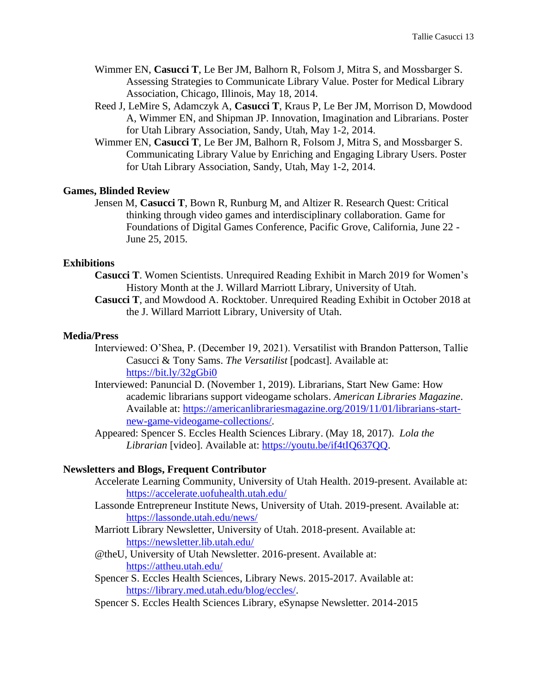- Wimmer EN, **Casucci T**, Le Ber JM, Balhorn R, Folsom J, Mitra S, and Mossbarger S. Assessing Strategies to Communicate Library Value. Poster for Medical Library Association, Chicago, Illinois, May 18, 2014.
- Reed J, LeMire S, Adamczyk A, **Casucci T**, Kraus P, Le Ber JM, Morrison D, Mowdood A, Wimmer EN, and Shipman JP. Innovation, Imagination and Librarians. Poster for Utah Library Association, Sandy, Utah, May 1-2, 2014.
- Wimmer EN, **Casucci T**, Le Ber JM, Balhorn R, Folsom J, Mitra S, and Mossbarger S. Communicating Library Value by Enriching and Engaging Library Users. Poster for Utah Library Association, Sandy, Utah, May 1-2, 2014.

#### **Games, Blinded Review**

Jensen M, **Casucci T**, Bown R, Runburg M, and Altizer R. Research Quest: Critical thinking through video games and interdisciplinary collaboration. Game for Foundations of Digital Games Conference, Pacific Grove, California, June 22 - June 25, 2015.

#### **Exhibitions**

- **Casucci T**. Women Scientists. Unrequired Reading Exhibit in March 2019 for Women's History Month at the J. Willard Marriott Library, University of Utah.
- **Casucci T**, and Mowdood A. Rocktober. Unrequired Reading Exhibit in October 2018 at the J. Willard Marriott Library, University of Utah.

#### **Media/Press**

- Interviewed: O'Shea, P. (December 19, 2021). Versatilist with Brandon Patterson, Tallie Casucci & Tony Sams. *The Versatilist* [podcast]. Available at: <https://bit.ly/32gGbi0>
- Interviewed: Panuncial D. (November 1, 2019). Librarians, Start New Game: How academic librarians support videogame scholars. *American Libraries Magazine*. Available at: [https://americanlibrariesmagazine.org/2019/11/01/librarians-start](https://americanlibrariesmagazine.org/2019/11/01/librarians-start-new-game-videogame-collections/)[new-game-videogame-collections/.](https://americanlibrariesmagazine.org/2019/11/01/librarians-start-new-game-videogame-collections/)
- Appeared: Spencer S. Eccles Health Sciences Library. (May 18, 2017). *Lola the Librarian* [video]. Available at: [https://youtu.be/if4tIQ637QQ.](https://youtu.be/if4tIQ637QQ)

#### **Newsletters and Blogs, Frequent Contributor**

- Accelerate Learning Community, University of Utah Health. 2019-present. Available at: <https://accelerate.uofuhealth.utah.edu/>
- Lassonde Entrepreneur Institute News, University of Utah. 2019-present. Available at: <https://lassonde.utah.edu/news/>
- Marriott Library Newsletter, University of Utah. 2018-present. Available at: <https://newsletter.lib.utah.edu/>
- @theU, University of Utah Newsletter. 2016-present. Available at: <https://attheu.utah.edu/>
- Spencer S. Eccles Health Sciences, Library News. 2015-2017. Available at: [https://library.med.utah.edu/blog/eccles/.](https://library.med.utah.edu/blog/eccles/)
- Spencer S. Eccles Health Sciences Library, eSynapse Newsletter. 2014-2015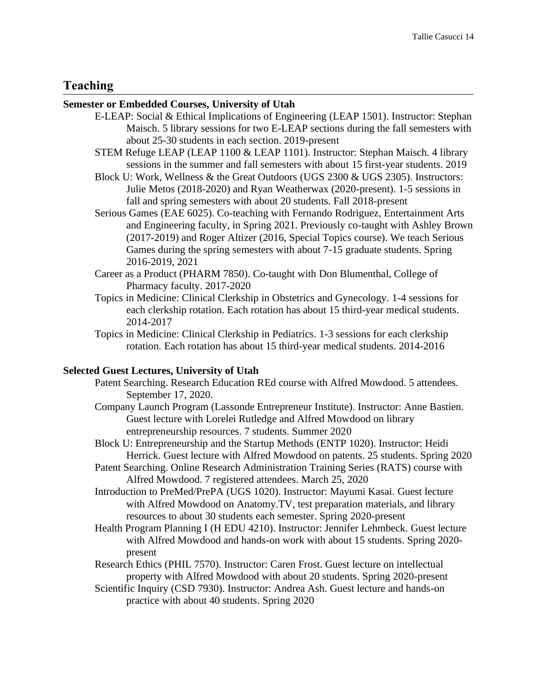## **Teaching**

#### **Semester or Embedded Courses, University of Utah**

- E-LEAP: Social & Ethical Implications of Engineering (LEAP 1501). Instructor: Stephan Maisch. 5 library sessions for two E-LEAP sections during the fall semesters with about 25-30 students in each section. 2019-present
- STEM Refuge LEAP (LEAP 1100 & LEAP 1101). Instructor: Stephan Maisch. 4 library sessions in the summer and fall semesters with about 15 first-year students. 2019
- Block U: Work, Wellness & the Great Outdoors (UGS 2300 & UGS 2305). Instructors: Julie Metos (2018-2020) and Ryan Weatherwax (2020-present). 1-5 sessions in fall and spring semesters with about 20 students. Fall 2018-present
- Serious Games (EAE 6025). Co-teaching with Fernando Rodriguez, Entertainment Arts and Engineering faculty, in Spring 2021. Previously co-taught with Ashley Brown (2017-2019) and Roger Altizer (2016, Special Topics course). We teach Serious Games during the spring semesters with about 7-15 graduate students. Spring 2016-2019, 2021
- Career as a Product (PHARM 7850). Co-taught with Don Blumenthal, College of Pharmacy faculty. 2017-2020
- Topics in Medicine: Clinical Clerkship in Obstetrics and Gynecology. 1-4 sessions for each clerkship rotation. Each rotation has about 15 third-year medical students. 2014-2017
- Topics in Medicine: Clinical Clerkship in Pediatrics. 1-3 sessions for each clerkship rotation. Each rotation has about 15 third-year medical students. 2014-2016

#### **Selected Guest Lectures, University of Utah**

- Patent Searching. Research Education REd course with Alfred Mowdood. 5 attendees. September 17, 2020.
- Company Launch Program (Lassonde Entrepreneur Institute). Instructor: Anne Bastien. Guest lecture with Lorelei Rutledge and Alfred Mowdood on library entrepreneurship resources. 7 students. Summer 2020
- Block U: Entrepreneurship and the Startup Methods (ENTP 1020). Instructor: Heidi Herrick. Guest lecture with Alfred Mowdood on patents. 25 students. Spring 2020
- Patent Searching. Online Research Administration Training Series (RATS) course with Alfred Mowdood. 7 registered attendees. March 25, 2020
- Introduction to PreMed/PrePA (UGS 1020). Instructor: Mayumi Kasai. Guest lecture with Alfred Mowdood on Anatomy.TV, test preparation materials, and library resources to about 30 students each semester. Spring 2020-present
- Health Program Planning I (H EDU 4210). Instructor: Jennifer Lehmbeck. Guest lecture with Alfred Mowdood and hands-on work with about 15 students. Spring 2020 present
- Research Ethics (PHIL 7570). Instructor: Caren Frost. Guest lecture on intellectual property with Alfred Mowdood with about 20 students. Spring 2020-present
- Scientific Inquiry (CSD 7930). Instructor: Andrea Ash. Guest lecture and hands-on practice with about 40 students. Spring 2020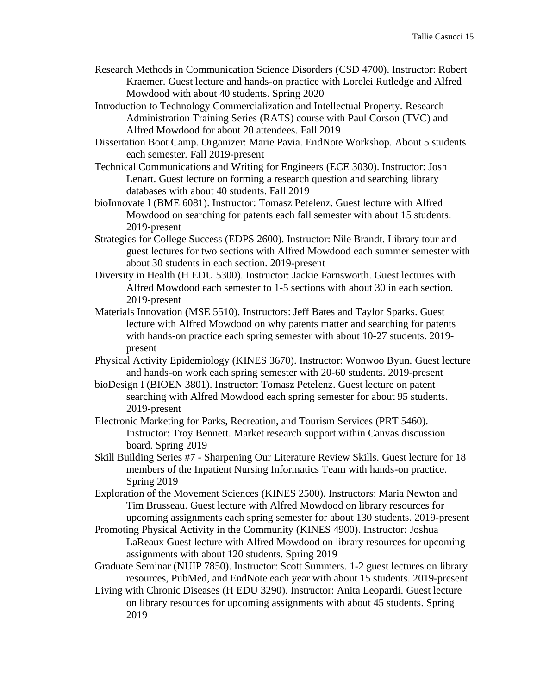- Research Methods in Communication Science Disorders (CSD 4700). Instructor: Robert Kraemer. Guest lecture and hands-on practice with Lorelei Rutledge and Alfred Mowdood with about 40 students. Spring 2020
- Introduction to Technology Commercialization and Intellectual Property. Research Administration Training Series (RATS) course with Paul Corson (TVC) and Alfred Mowdood for about 20 attendees. Fall 2019
- Dissertation Boot Camp. Organizer: Marie Pavia. EndNote Workshop. About 5 students each semester. Fall 2019-present
- Technical Communications and Writing for Engineers (ECE 3030). Instructor: Josh Lenart. Guest lecture on forming a research question and searching library databases with about 40 students. Fall 2019
- bioInnovate I (BME 6081). Instructor: Tomasz Petelenz. Guest lecture with Alfred Mowdood on searching for patents each fall semester with about 15 students. 2019-present
- Strategies for College Success (EDPS 2600). Instructor: Nile Brandt. Library tour and guest lectures for two sections with Alfred Mowdood each summer semester with about 30 students in each section. 2019-present
- Diversity in Health (H EDU 5300). Instructor: Jackie Farnsworth. Guest lectures with Alfred Mowdood each semester to 1-5 sections with about 30 in each section. 2019-present
- Materials Innovation (MSE 5510). Instructors: Jeff Bates and Taylor Sparks. Guest lecture with Alfred Mowdood on why patents matter and searching for patents with hands-on practice each spring semester with about 10-27 students. 2019 present
- Physical Activity Epidemiology (KINES 3670). Instructor: Wonwoo Byun. Guest lecture and hands-on work each spring semester with 20-60 students. 2019-present
- bioDesign I (BIOEN 3801). Instructor: Tomasz Petelenz. Guest lecture on patent searching with Alfred Mowdood each spring semester for about 95 students. 2019-present
- Electronic Marketing for Parks, Recreation, and Tourism Services (PRT 5460). Instructor: Troy Bennett. Market research support within Canvas discussion board. Spring 2019
- Skill Building Series #7 Sharpening Our Literature Review Skills. Guest lecture for 18 members of the Inpatient Nursing Informatics Team with hands-on practice. Spring 2019

Exploration of the Movement Sciences (KINES 2500). Instructors: Maria Newton and Tim Brusseau. Guest lecture with Alfred Mowdood on library resources for upcoming assignments each spring semester for about 130 students. 2019-present

- Promoting Physical Activity in the Community (KINES 4900). Instructor: Joshua LaReaux Guest lecture with Alfred Mowdood on library resources for upcoming assignments with about 120 students. Spring 2019
- Graduate Seminar (NUIP 7850). Instructor: Scott Summers. 1-2 guest lectures on library resources, PubMed, and EndNote each year with about 15 students. 2019-present
- Living with Chronic Diseases (H EDU 3290). Instructor: Anita Leopardi. Guest lecture on library resources for upcoming assignments with about 45 students. Spring 2019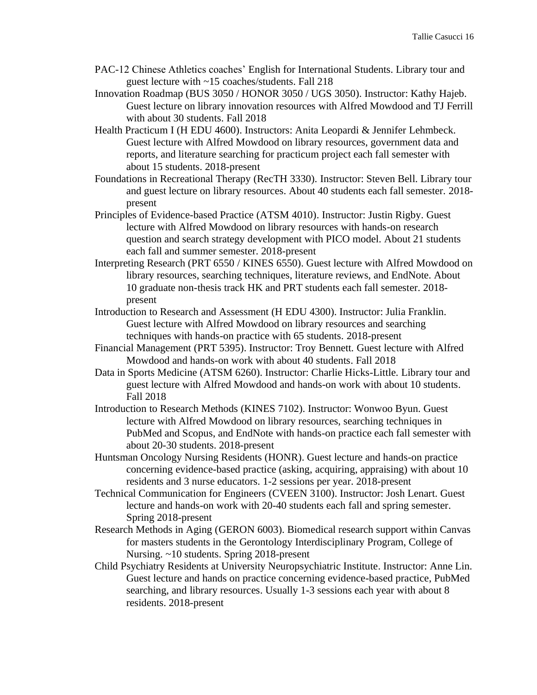- PAC-12 Chinese Athletics coaches' English for International Students. Library tour and guest lecture with ~15 coaches/students. Fall 218
- Innovation Roadmap (BUS 3050 / HONOR 3050 / UGS 3050). Instructor: Kathy Hajeb. Guest lecture on library innovation resources with Alfred Mowdood and TJ Ferrill with about 30 students. Fall 2018
- Health Practicum I (H EDU 4600). Instructors: Anita Leopardi & Jennifer Lehmbeck. Guest lecture with Alfred Mowdood on library resources, government data and reports, and literature searching for practicum project each fall semester with about 15 students. 2018-present
- Foundations in Recreational Therapy (RecTH 3330). Instructor: Steven Bell. Library tour and guest lecture on library resources. About 40 students each fall semester. 2018 present
- Principles of Evidence-based Practice (ATSM 4010). Instructor: Justin Rigby. Guest lecture with Alfred Mowdood on library resources with hands-on research question and search strategy development with PICO model. About 21 students each fall and summer semester. 2018-present
- Interpreting Research (PRT 6550 / KINES 6550). Guest lecture with Alfred Mowdood on library resources, searching techniques, literature reviews, and EndNote. About 10 graduate non-thesis track HK and PRT students each fall semester. 2018 present
- Introduction to Research and Assessment (H EDU 4300). Instructor: Julia Franklin. Guest lecture with Alfred Mowdood on library resources and searching techniques with hands-on practice with 65 students. 2018-present
- Financial Management (PRT 5395). Instructor: Troy Bennett. Guest lecture with Alfred Mowdood and hands-on work with about 40 students. Fall 2018
- Data in Sports Medicine (ATSM 6260). Instructor: Charlie Hicks-Little. Library tour and guest lecture with Alfred Mowdood and hands-on work with about 10 students. Fall 2018
- Introduction to Research Methods (KINES 7102). Instructor: Wonwoo Byun. Guest lecture with Alfred Mowdood on library resources, searching techniques in PubMed and Scopus, and EndNote with hands-on practice each fall semester with about 20-30 students. 2018-present
- Huntsman Oncology Nursing Residents (HONR). Guest lecture and hands-on practice concerning evidence-based practice (asking, acquiring, appraising) with about 10 residents and 3 nurse educators. 1-2 sessions per year. 2018-present
- Technical Communication for Engineers (CVEEN 3100). Instructor: Josh Lenart. Guest lecture and hands-on work with 20-40 students each fall and spring semester. Spring 2018-present
- Research Methods in Aging (GERON 6003). Biomedical research support within Canvas for masters students in the Gerontology Interdisciplinary Program, College of Nursing. ~10 students. Spring 2018-present
- Child Psychiatry Residents at University Neuropsychiatric Institute. Instructor: Anne Lin. Guest lecture and hands on practice concerning evidence-based practice, PubMed searching, and library resources. Usually 1-3 sessions each year with about 8 residents. 2018-present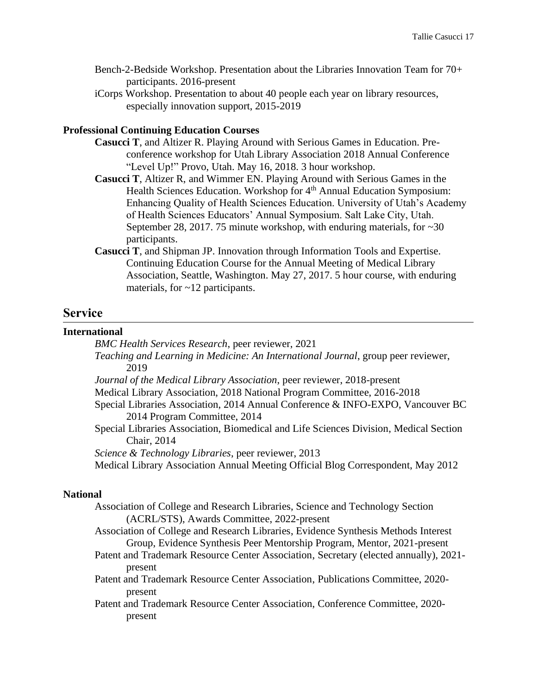- Bench-2-Bedside Workshop. Presentation about the Libraries Innovation Team for 70+ participants. 2016-present
- iCorps Workshop. Presentation to about 40 people each year on library resources, especially innovation support, 2015-2019

#### **Professional Continuing Education Courses**

- **Casucci T**, and Altizer R. Playing Around with Serious Games in Education. Preconference workshop for Utah Library Association 2018 Annual Conference "Level Up!" Provo, Utah. May 16, 2018. 3 hour workshop.
- **Casucci T**, Altizer R, and Wimmer EN. Playing Around with Serious Games in the Health Sciences Education. Workshop for 4<sup>th</sup> Annual Education Symposium: Enhancing Quality of Health Sciences Education. University of Utah's Academy of Health Sciences Educators' Annual Symposium. Salt Lake City, Utah. September 28, 2017. 75 minute workshop, with enduring materials, for  $\sim$  30 participants.
- **Casucci T**, and Shipman JP. Innovation through Information Tools and Expertise. Continuing Education Course for the Annual Meeting of Medical Library Association, Seattle, Washington. May 27, 2017. 5 hour course, with enduring materials, for ~12 participants.

### **Service**

#### **International**

*BMC Health Services Research*, peer reviewer, 2021

- *Teaching and Learning in Medicine: An International Journal*, group peer reviewer, 2019
- *Journal of the Medical Library Association*, peer reviewer, 2018-present

Medical Library Association, 2018 National Program Committee, 2016-2018

- Special Libraries Association, 2014 Annual Conference & INFO-EXPO, Vancouver BC 2014 Program Committee, 2014
- Special Libraries Association, Biomedical and Life Sciences Division, Medical Section Chair, 2014

*Science & Technology Libraries*, peer reviewer, 2013

Medical Library Association Annual Meeting Official Blog Correspondent, May 2012

#### **National**

- Association of College and Research Libraries, Science and Technology Section (ACRL/STS), Awards Committee, 2022-present
- Association of College and Research Libraries, Evidence Synthesis Methods Interest Group, Evidence Synthesis Peer Mentorship Program, Mentor, 2021-present
- Patent and Trademark Resource Center Association, Secretary (elected annually), 2021 present
- Patent and Trademark Resource Center Association, Publications Committee, 2020 present

Patent and Trademark Resource Center Association, Conference Committee, 2020 present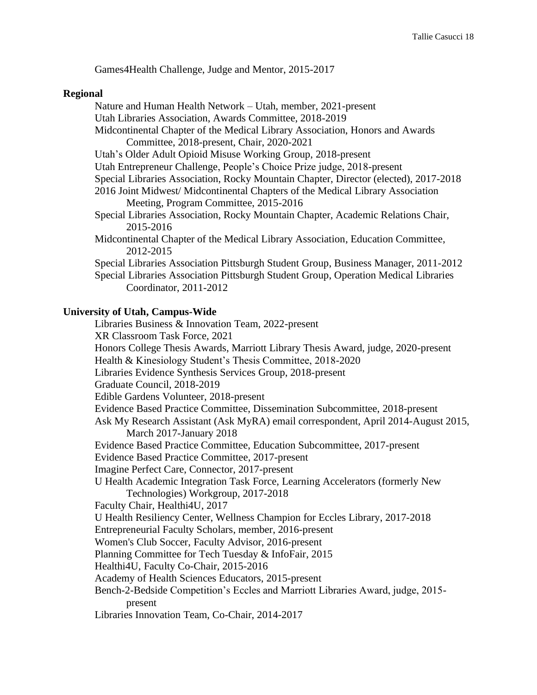Games4Health Challenge, Judge and Mentor, 2015-2017

#### **Regional**

Nature and Human Health Network – Utah, member, 2021-present Utah Libraries Association, Awards Committee, 2018-2019 Midcontinental Chapter of the Medical Library Association, Honors and Awards Committee, 2018-present, Chair, 2020-2021 Utah's Older Adult Opioid Misuse Working Group, 2018-present Utah Entrepreneur Challenge, People's Choice Prize judge, 2018-present Special Libraries Association, Rocky Mountain Chapter, Director (elected), 2017-2018 2016 Joint Midwest/ Midcontinental Chapters of the Medical Library Association Meeting, Program Committee, 2015-2016 Special Libraries Association, Rocky Mountain Chapter, Academic Relations Chair, 2015-2016 Midcontinental Chapter of the Medical Library Association, Education Committee, 2012-2015 Special Libraries Association Pittsburgh Student Group, Business Manager, 2011-2012 Special Libraries Association Pittsburgh Student Group, Operation Medical Libraries Coordinator, 2011-2012 **University of Utah, Campus-Wide** Libraries Business & Innovation Team, 2022-present XR Classroom Task Force, 2021 Honors College Thesis Awards, Marriott Library Thesis Award, judge, 2020-present Health & Kinesiology Student's Thesis Committee, 2018-2020 Libraries Evidence Synthesis Services Group, 2018-present Graduate Council, 2018-2019 Edible Gardens Volunteer, 2018-present

Evidence Based Practice Committee, Dissemination Subcommittee, 2018-present

Ask My Research Assistant (Ask MyRA) email correspondent, April 2014-August 2015, March 2017-January 2018

Evidence Based Practice Committee, Education Subcommittee, 2017-present

Evidence Based Practice Committee, 2017-present

Imagine Perfect Care, Connector, 2017-present

U Health Academic Integration Task Force, Learning Accelerators (formerly New Technologies) Workgroup, 2017-2018

Faculty Chair, Healthi4U, 2017

U Health Resiliency Center, Wellness Champion for Eccles Library, 2017-2018

Entrepreneurial Faculty Scholars, member, 2016-present

Women's Club Soccer, Faculty Advisor, 2016-present

Planning Committee for Tech Tuesday & InfoFair, 2015

Healthi4U, Faculty Co-Chair, 2015-2016

Academy of Health Sciences Educators, 2015-present

Bench-2-Bedside Competition's Eccles and Marriott Libraries Award, judge, 2015 present

Libraries Innovation Team, Co-Chair, 2014-2017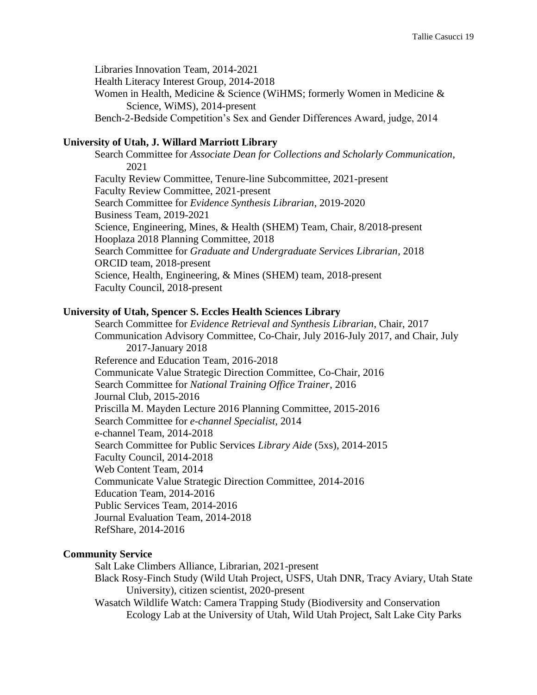Libraries Innovation Team, 2014-2021

Health Literacy Interest Group, 2014-2018

Women in Health, Medicine & Science (WiHMS; formerly Women in Medicine & Science, WiMS), 2014-present

Bench-2-Bedside Competition's Sex and Gender Differences Award, judge, 2014

#### **University of Utah, J. Willard Marriott Library**

Search Committee for *Associate Dean for Collections and Scholarly Communication*, 2021 Faculty Review Committee, Tenure-line Subcommittee, 2021-present Faculty Review Committee, 2021-present Search Committee for *Evidence Synthesis Librarian*, 2019-2020 Business Team, 2019-2021 Science, Engineering, Mines, & Health (SHEM) Team, Chair, 8/2018-present Hooplaza 2018 Planning Committee, 2018 Search Committee for *Graduate and Undergraduate Services Librarian*, 2018 ORCID team, 2018-present Science, Health, Engineering, & Mines (SHEM) team, 2018-present Faculty Council, 2018-present

#### **University of Utah, Spencer S. Eccles Health Sciences Library**

Search Committee for *Evidence Retrieval and Synthesis Librarian*, Chair, 2017 Communication Advisory Committee, Co-Chair, July 2016-July 2017, and Chair, July 2017-January 2018 Reference and Education Team, 2016-2018 Communicate Value Strategic Direction Committee, Co-Chair, 2016 Search Committee for *National Training Office Trainer*, 2016 Journal Club, 2015-2016 Priscilla M. Mayden Lecture 2016 Planning Committee, 2015-2016 Search Committee for *e-channel Specialist*, 2014 e-channel Team, 2014-2018 Search Committee for Public Services *Library Aide* (5xs), 2014-2015 Faculty Council, 2014-2018 Web Content Team, 2014 Communicate Value Strategic Direction Committee, 2014-2016 Education Team, 2014-2016 Public Services Team, 2014-2016 Journal Evaluation Team, 2014-2018 RefShare, 2014-2016

#### **Community Service**

Salt Lake Climbers Alliance, Librarian, 2021-present Black Rosy-Finch Study (Wild Utah Project, USFS, Utah DNR, Tracy Aviary, Utah State

University), citizen scientist, 2020-present

Wasatch Wildlife Watch: Camera Trapping Study (Biodiversity and Conservation Ecology Lab at the University of Utah, Wild Utah Project, Salt Lake City Parks